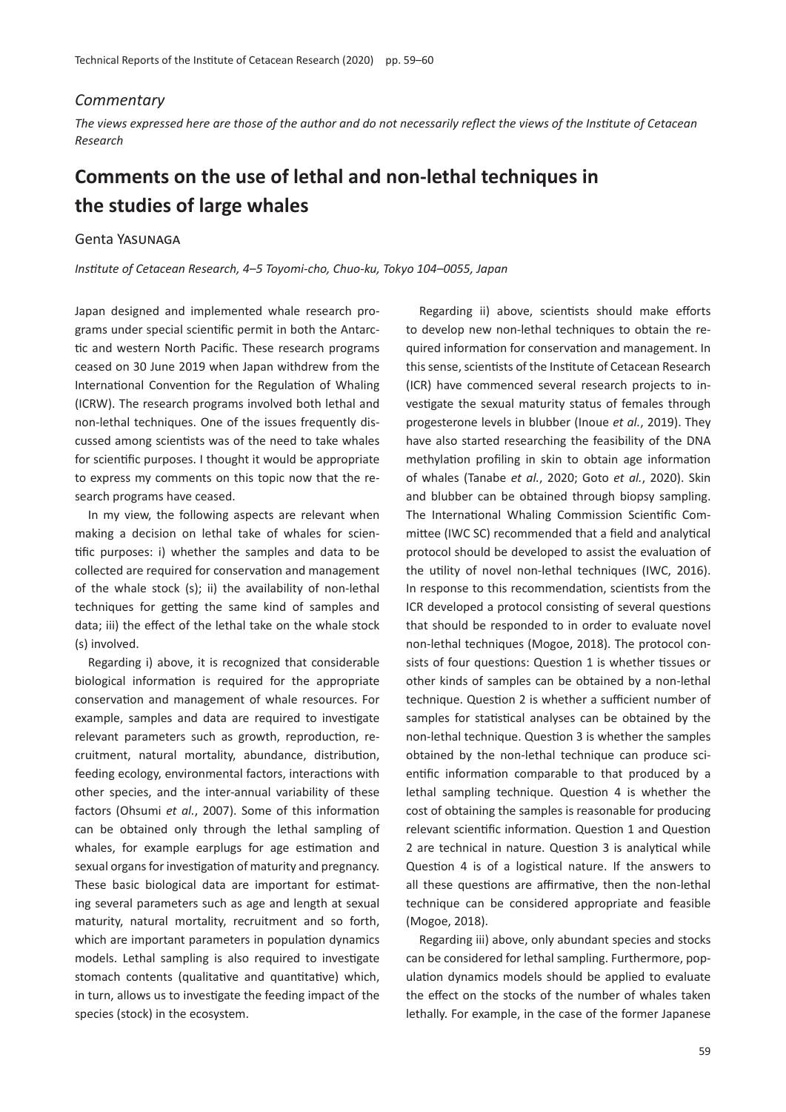## *Commentary*

*The views expressed here are those of the author and do not necessarily reflect the views of the Institute of Cetacean Research*

## **Comments on the use of lethal and non-lethal techniques in the studies of large whales**

## Genta Yasunaga

*Institute of Cetacean Research, 4*–*5 Toyomi-cho, Chuo-ku, Tokyo 104*–*0055, Japan*

Japan designed and implemented whale research programs under special scien�fic permit in both the Antarc- �c and western North Pacific. These research programs ceased on 30 June 2019 when Japan withdrew from the International Convention for the Regulation of Whaling (ICRW). The research programs involved both lethal and non-lethal techniques. One of the issues frequently discussed among scientists was of the need to take whales for scientific purposes. I thought it would be appropriate to express my comments on this topic now that the research programs have ceased.

In my view, the following aspects are relevant when making a decision on lethal take of whales for scien tific purposes: i) whether the samples and data to be collected are required for conservation and management of the whale stock (s); ii) the availability of non-lethal techniques for getting the same kind of samples and data; iii) the effect of the lethal take on the whale stock (s) involved.

Regarding i) above, it is recognized that considerable biological information is required for the appropriate conservation and management of whale resources. For example, samples and data are required to investigate relevant parameters such as growth, reproduction, recruitment, natural mortality, abundance, distribution, feeding ecology, environmental factors, interactions with other species, and the inter-annual variability of these factors (Ohsumi *et al.*, 2007). Some of this information can be obtained only through the lethal sampling of whales, for example earplugs for age estimation and sexual organs for investigation of maturity and pregnancy. These basic biological data are important for estimating several parameters such as age and length at sexual maturity, natural mortality, recruitment and so forth, which are important parameters in population dynamics models. Lethal sampling is also required to investigate stomach contents (qualitative and quantitative) which, in turn, allows us to investigate the feeding impact of the species (stock) in the ecosystem.

Regarding ii) above, scientists should make efforts to develop new non-lethal techniques to obtain the required information for conservation and management. In this sense, scientists of the Institute of Cetacean Research (ICR) have commenced several research projects to investigate the sexual maturity status of females through progesterone levels in blubber (Inoue *et al.*, 2019). They have also started researching the feasibility of the DNA methylation profiling in skin to obtain age information of whales (Tanabe *et al.*, 2020; Goto *et al.*, 2020). Skin and blubber can be obtained through biopsy sampling. The International Whaling Commission Scientific Committee (IWC SC) recommended that a field and analytical protocol should be developed to assist the evaluation of the utility of novel non-lethal techniques (IWC, 2016). In response to this recommendation, scientists from the ICR developed a protocol consisting of several questions that should be responded to in order to evaluate novel non-lethal techniques (Mogoe, 2018). The protocol consists of four questions: Question 1 is whether tissues or other kinds of samples can be obtained by a non-lethal technique. Question 2 is whether a sufficient number of samples for statistical analyses can be obtained by the non-lethal technique. Question 3 is whether the samples obtained by the non-lethal technique can produce scientific information comparable to that produced by a lethal sampling technique. Question 4 is whether the cost of obtaining the samples is reasonable for producing relevant scientific information. Question 1 and Question 2 are technical in nature. Question 3 is analytical while Question 4 is of a logistical nature. If the answers to all these questions are affirmative, then the non-lethal technique can be considered appropriate and feasible (Mogoe, 2018).

Regarding iii) above, only abundant species and stocks can be considered for lethal sampling. Furthermore, population dynamics models should be applied to evaluate the effect on the stocks of the number of whales taken lethally. For example, in the case of the former Japanese